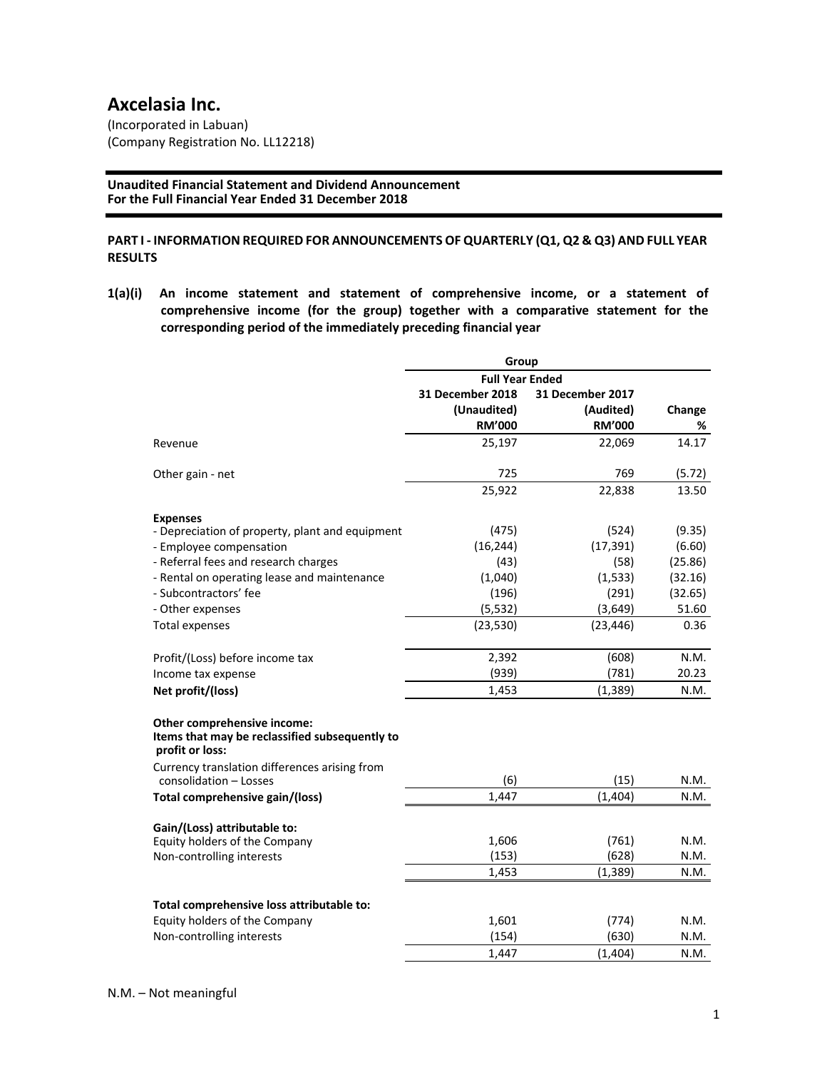# **Axcelasia Inc.**

(Incorporated in Labuan) (Company Registration No. LL12218)

**Unaudited Financial Statement and Dividend Announcement For the Full Financial Year Ended 31 December 2018**

### **PART I ‐ INFORMATION REQUIRED FOR ANNOUNCEMENTS OF QUARTERLY (Q1, Q2 & Q3) AND FULL YEAR RESULTS**

**1(a)(i) An income statement and statement of comprehensive income, or a statement of comprehensive income (for the group) together with a comparative statement for the corresponding period of the immediately preceding financial year**

|                                                                                                  | Group                   |                  |         |
|--------------------------------------------------------------------------------------------------|-------------------------|------------------|---------|
|                                                                                                  | <b>Full Year Ended</b>  |                  |         |
|                                                                                                  | <b>31 December 2018</b> | 31 December 2017 |         |
|                                                                                                  | (Unaudited)             | (Audited)        | Change  |
|                                                                                                  | <b>RM'000</b>           | <b>RM'000</b>    | %       |
| Revenue                                                                                          | 25,197                  | 22,069           | 14.17   |
| Other gain - net                                                                                 | 725                     | 769              | (5.72)  |
|                                                                                                  | 25,922                  | 22,838           | 13.50   |
| <b>Expenses</b>                                                                                  |                         |                  |         |
| - Depreciation of property, plant and equipment                                                  | (475)                   | (524)            | (9.35)  |
| - Employee compensation                                                                          | (16, 244)               | (17, 391)        | (6.60)  |
| - Referral fees and research charges                                                             | (43)                    | (58)             | (25.86) |
| - Rental on operating lease and maintenance                                                      | (1,040)                 | (1, 533)         | (32.16) |
| - Subcontractors' fee                                                                            | (196)                   | (291)            | (32.65) |
| - Other expenses                                                                                 | (5, 532)                | (3,649)          | 51.60   |
| <b>Total expenses</b>                                                                            | (23, 530)               | (23, 446)        | 0.36    |
| Profit/(Loss) before income tax                                                                  | 2,392                   | (608)            | N.M.    |
| Income tax expense                                                                               | (939)                   | (781)            | 20.23   |
| Net profit/(loss)                                                                                | 1,453                   | (1, 389)         | N.M.    |
| Other comprehensive income:<br>Items that may be reclassified subsequently to<br>profit or loss: |                         |                  |         |
| Currency translation differences arising from                                                    |                         |                  |         |
| consolidation - Losses                                                                           | (6)                     | (15)             | N.M.    |
| Total comprehensive gain/(loss)                                                                  | 1,447                   | (1,404)          | N.M.    |
| Gain/(Loss) attributable to:                                                                     |                         |                  |         |
| Equity holders of the Company                                                                    | 1,606                   | (761)            | N.M.    |
| Non-controlling interests                                                                        | (153)                   | (628)            | N.M.    |
|                                                                                                  | 1,453                   | (1, 389)         | N.M.    |
| Total comprehensive loss attributable to:                                                        |                         |                  |         |
| Equity holders of the Company                                                                    | 1,601                   | (774)            | N.M.    |
| Non-controlling interests                                                                        | (154)                   | (630)            | N.M.    |
|                                                                                                  | 1,447                   | (1, 404)         | N.M.    |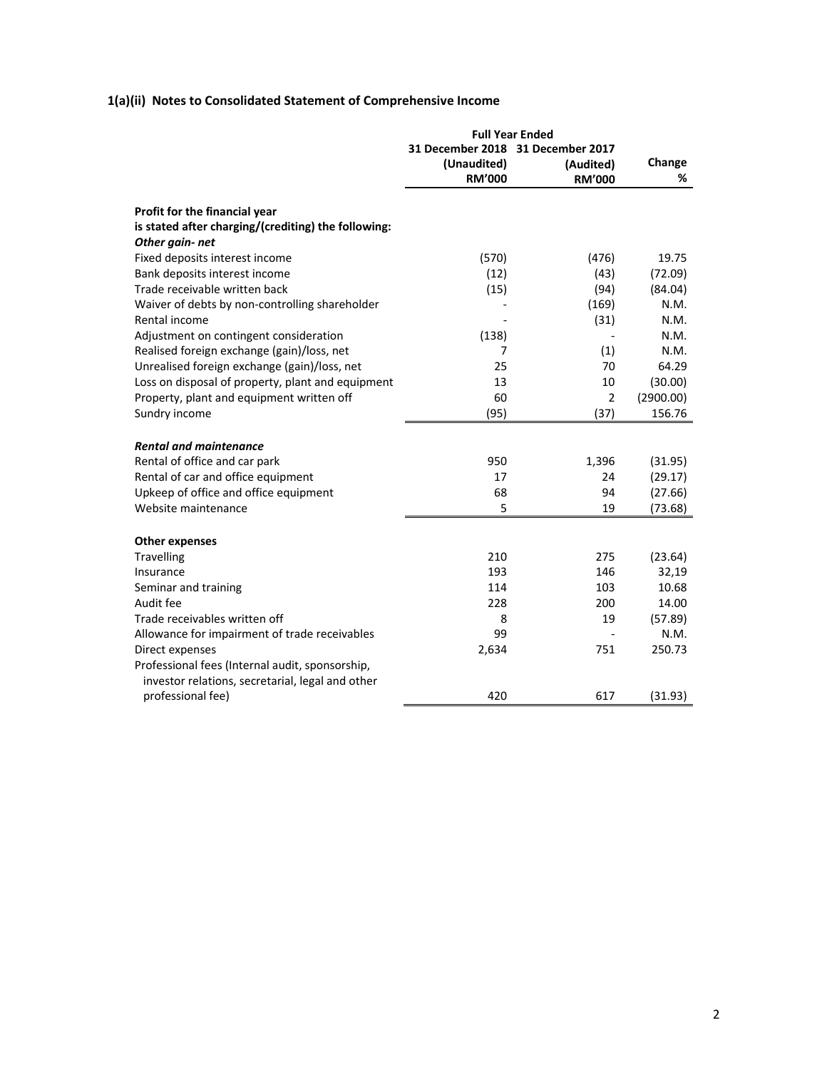# **1(a)(ii) Notes to Consolidated Statement of Comprehensive Income**

|                                                     | <b>Full Year Ended</b>            |               |           |
|-----------------------------------------------------|-----------------------------------|---------------|-----------|
|                                                     | 31 December 2018 31 December 2017 |               |           |
|                                                     | (Unaudited)                       | (Audited)     | Change    |
|                                                     | <b>RM'000</b>                     | <b>RM'000</b> | %         |
| Profit for the financial year                       |                                   |               |           |
| is stated after charging/(crediting) the following: |                                   |               |           |
| Other gain-net                                      |                                   |               |           |
| Fixed deposits interest income                      | (570)                             | (476)         | 19.75     |
| Bank deposits interest income                       | (12)                              | (43)          | (72.09)   |
| Trade receivable written back                       | (15)                              | (94)          | (84.04)   |
| Waiver of debts by non-controlling shareholder      |                                   | (169)         | N.M.      |
| Rental income                                       |                                   | (31)          | N.M.      |
| Adjustment on contingent consideration              | (138)                             |               | N.M.      |
| Realised foreign exchange (gain)/loss, net          | 7                                 | (1)           | N.M.      |
| Unrealised foreign exchange (gain)/loss, net        | 25                                | 70            | 64.29     |
| Loss on disposal of property, plant and equipment   | 13                                | 10            | (30.00)   |
| Property, plant and equipment written off           | 60                                | 2             | (2900.00) |
| Sundry income                                       | (95)                              | (37)          | 156.76    |
|                                                     |                                   |               |           |
| <b>Rental and maintenance</b>                       |                                   |               |           |
| Rental of office and car park                       | 950                               | 1,396         | (31.95)   |
| Rental of car and office equipment                  | 17                                | 24            | (29.17)   |
| Upkeep of office and office equipment               | 68                                | 94            | (27.66)   |
| Website maintenance                                 | 5                                 | 19            | (73.68)   |
|                                                     |                                   |               |           |
| <b>Other expenses</b>                               |                                   |               |           |
| Travelling                                          | 210                               | 275           | (23.64)   |
| Insurance                                           | 193                               | 146           | 32,19     |
| Seminar and training                                | 114                               | 103           | 10.68     |
| Audit fee                                           | 228                               | 200           | 14.00     |
| Trade receivables written off                       | 8                                 | 19            | (57.89)   |
| Allowance for impairment of trade receivables       | 99                                |               | N.M.      |
| Direct expenses                                     | 2,634                             | 751           | 250.73    |
| Professional fees (Internal audit, sponsorship,     |                                   |               |           |
| investor relations, secretarial, legal and other    |                                   |               |           |
| professional fee)                                   | 420                               | 617           | (31.93)   |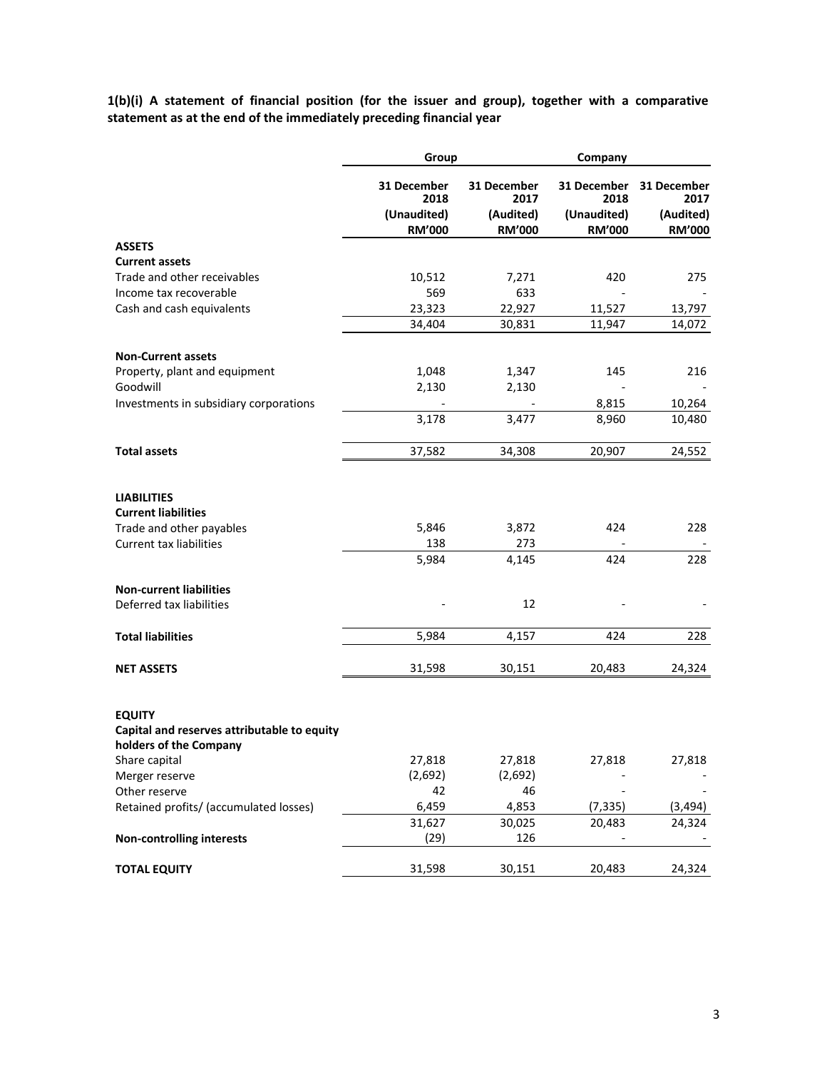**1(b)(i) A statement of financial position (for the issuer and group), together with a comparative statement as at the end of the immediately preceding financial year**

|                                                                                                                | Group                        |                            | Company                      |                            |  |
|----------------------------------------------------------------------------------------------------------------|------------------------------|----------------------------|------------------------------|----------------------------|--|
|                                                                                                                | 31 December<br>2018          | 31 December<br>2017        | 31 December<br>2018          | 31 December<br>2017        |  |
|                                                                                                                | (Unaudited)<br><b>RM'000</b> | (Audited)<br><b>RM'000</b> | (Unaudited)<br><b>RM'000</b> | (Audited)<br><b>RM'000</b> |  |
| <b>ASSETS</b>                                                                                                  |                              |                            |                              |                            |  |
| <b>Current assets</b><br>Trade and other receivables                                                           |                              |                            | 420                          |                            |  |
| Income tax recoverable                                                                                         | 10,512<br>569                | 7,271<br>633               |                              | 275                        |  |
| Cash and cash equivalents                                                                                      | 23,323                       | 22,927                     | 11,527                       | 13,797                     |  |
|                                                                                                                | 34,404                       | 30,831                     | 11,947                       | 14,072                     |  |
| <b>Non-Current assets</b>                                                                                      |                              |                            |                              |                            |  |
| Property, plant and equipment                                                                                  | 1,048                        | 1,347                      | 145                          | 216                        |  |
| Goodwill                                                                                                       | 2,130                        | 2,130                      |                              |                            |  |
| Investments in subsidiary corporations                                                                         |                              |                            | 8,815                        | 10,264                     |  |
|                                                                                                                | 3,178                        | 3,477                      | 8,960                        | 10,480                     |  |
| <b>Total assets</b>                                                                                            | 37,582                       | 34,308                     | 20,907                       | 24,552                     |  |
| <b>LIABILITIES</b><br><b>Current liabilities</b><br>Trade and other payables<br><b>Current tax liabilities</b> | 5,846<br>138                 | 3,872<br>273               | 424                          | 228                        |  |
|                                                                                                                | 5,984                        | 4,145                      | 424                          | 228                        |  |
| <b>Non-current liabilities</b>                                                                                 |                              |                            |                              |                            |  |
| Deferred tax liabilities                                                                                       |                              | 12                         |                              |                            |  |
| <b>Total liabilities</b>                                                                                       | 5,984                        | 4,157                      | 424                          | 228                        |  |
| <b>NET ASSETS</b>                                                                                              | 31,598                       | 30,151                     | 20,483                       | 24,324                     |  |
| <b>EQUITY</b><br>Capital and reserves attributable to equity<br>holders of the Company                         |                              |                            |                              |                            |  |
| Share capital                                                                                                  | 27,818                       | 27,818                     | 27,818                       | 27,818                     |  |
| Merger reserve                                                                                                 | (2,692)                      | (2,692)                    |                              |                            |  |
| Other reserve                                                                                                  | 42                           | 46                         |                              |                            |  |
| Retained profits/ (accumulated losses)                                                                         | 6,459                        | 4,853                      | (7, 335)                     | (3, 494)                   |  |
|                                                                                                                | 31,627                       | 30,025                     | 20,483                       | 24,324                     |  |
| <b>Non-controlling interests</b>                                                                               | (29)                         | 126                        |                              |                            |  |
| <b>TOTAL EQUITY</b>                                                                                            | 31,598                       | 30,151                     | 20,483                       | 24,324                     |  |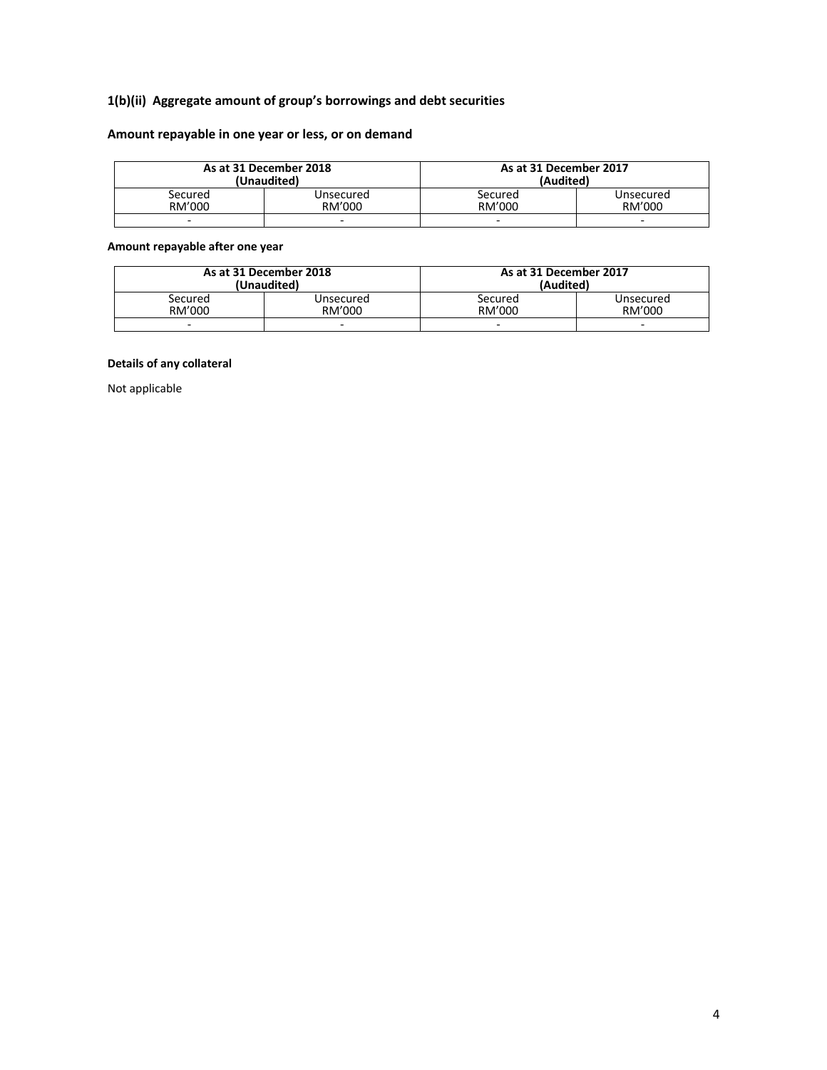# **1(b)(ii) Aggregate amount of group's borrowings and debt securities**

# **Amount repayable in one year or less, or on demand**

|                          | As at 31 December 2018<br>(Unaudited) | As at 31 December 2017<br>(Audited) |                          |
|--------------------------|---------------------------------------|-------------------------------------|--------------------------|
| Secured                  | Unsecured                             | Secured                             | Unsecured                |
| RM'000                   | RM'000                                | RM'000                              | RM'000                   |
| $\overline{\phantom{0}}$ | $\overline{\phantom{0}}$              | $\overline{\phantom{0}}$            | $\overline{\phantom{0}}$ |

### **Amount repayable after one year**

|         | As at 31 December 2018<br>(Unaudited) | As at 31 December 2017<br>(Audited) |                                    |
|---------|---------------------------------------|-------------------------------------|------------------------------------|
| Secured | Unsecured                             | Secured                             | Unsecured                          |
| RM'000  | RM'000<br>$\overline{\phantom{0}}$    | RM'000<br>$\overline{\phantom{0}}$  | RM'000<br>$\overline{\phantom{0}}$ |

### **Details of any collateral**

Not applicable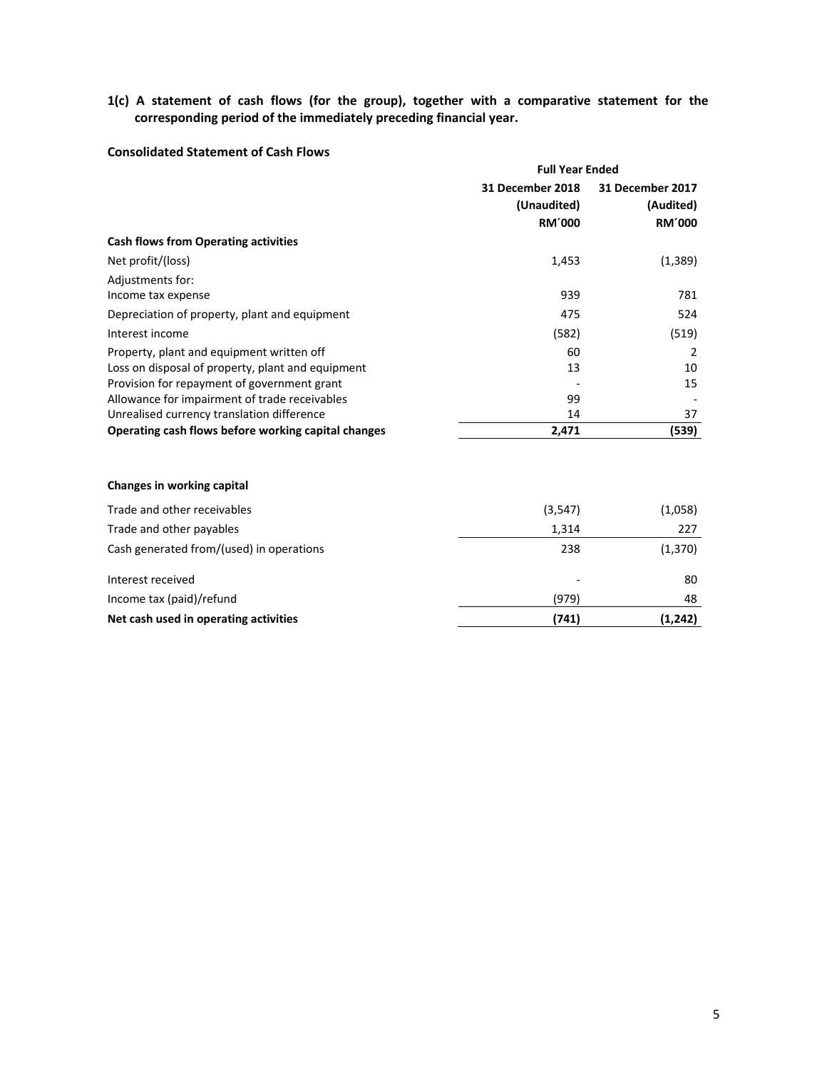**1(c) A statement of cash flows (for the group), together with a comparative statement for the corresponding period of the immediately preceding financial year.**

# **Consolidated Statement of Cash Flows**

|                                                     | <b>Full Year Ended</b>          |                               |  |
|-----------------------------------------------------|---------------------------------|-------------------------------|--|
|                                                     | 31 December 2018<br>(Unaudited) | 31 December 2017<br>(Audited) |  |
|                                                     | <b>RM'000</b>                   | <b>RM'000</b>                 |  |
| <b>Cash flows from Operating activities</b>         |                                 |                               |  |
| Net profit/(loss)                                   | 1,453                           | (1,389)                       |  |
| Adjustments for:                                    |                                 |                               |  |
| Income tax expense                                  | 939                             | 781                           |  |
| Depreciation of property, plant and equipment       | 475                             | 524                           |  |
| Interest income                                     | (582)                           | (519)                         |  |
| Property, plant and equipment written off           | 60                              | $\mathcal{P}$                 |  |
| Loss on disposal of property, plant and equipment   | 13                              | 10                            |  |
| Provision for repayment of government grant         |                                 | 15                            |  |
| Allowance for impairment of trade receivables       | 99                              |                               |  |
| Unrealised currency translation difference          | 14                              | 37                            |  |
| Operating cash flows before working capital changes | 2,471                           | (539)                         |  |
|                                                     |                                 |                               |  |

#### **Changes in working capital**

| Net cash used in operating activities    | (741)   | (1,242)  |
|------------------------------------------|---------|----------|
|                                          |         |          |
| Income tax (paid)/refund                 | (979)   | 48       |
| Interest received                        |         | 80       |
| Cash generated from/(used) in operations | 238     | (1, 370) |
| Trade and other payables                 | 1,314   | 227      |
| Trade and other receivables              | (3,547) | (1,058)  |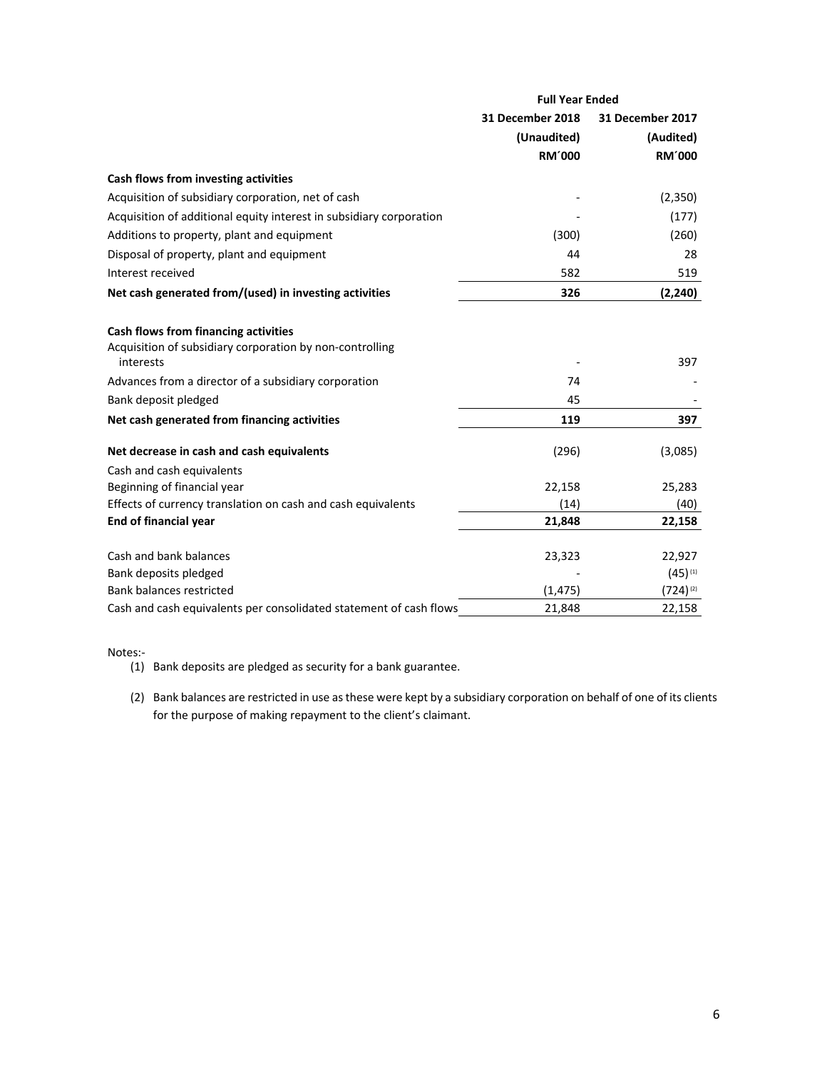|                                                                       | <b>Full Year Ended</b> |                  |  |
|-----------------------------------------------------------------------|------------------------|------------------|--|
|                                                                       | 31 December 2018       | 31 December 2017 |  |
|                                                                       | (Unaudited)            | (Audited)        |  |
|                                                                       | <b>RM'000</b>          | <b>RM'000</b>    |  |
| Cash flows from investing activities                                  |                        |                  |  |
| Acquisition of subsidiary corporation, net of cash                    |                        | (2, 350)         |  |
| Acquisition of additional equity interest in subsidiary corporation   |                        | (177)            |  |
| Additions to property, plant and equipment                            | (300)                  | (260)            |  |
| Disposal of property, plant and equipment                             | 44                     | 28               |  |
| Interest received                                                     | 582                    | 519              |  |
| Net cash generated from/(used) in investing activities                | 326                    | (2, 240)         |  |
| Cash flows from financing activities                                  |                        |                  |  |
| Acquisition of subsidiary corporation by non-controlling<br>interests |                        | 397              |  |
| Advances from a director of a subsidiary corporation                  | 74                     |                  |  |
| Bank deposit pledged                                                  | 45                     |                  |  |
| Net cash generated from financing activities                          | 119                    | 397              |  |
| Net decrease in cash and cash equivalents                             | (296)                  | (3,085)          |  |
| Cash and cash equivalents                                             |                        |                  |  |
| Beginning of financial year                                           | 22,158                 | 25,283           |  |
| Effects of currency translation on cash and cash equivalents          | (14)                   | (40)             |  |
| End of financial year                                                 | 21,848                 | 22,158           |  |
| Cash and bank balances                                                | 23,323                 | 22,927           |  |
| Bank deposits pledged                                                 |                        | $(45)^{(1)}$     |  |
| <b>Bank balances restricted</b>                                       | (1, 475)               | $(724)^{(2)}$    |  |
| Cash and cash equivalents per consolidated statement of cash flows    | 21,848                 | 22,158           |  |

Notes:‐

- (1) Bank deposits are pledged as security for a bank guarantee.
- (2) Bank balances are restricted in use as these were kept by a subsidiary corporation on behalf of one of its clients for the purpose of making repayment to the client's claimant.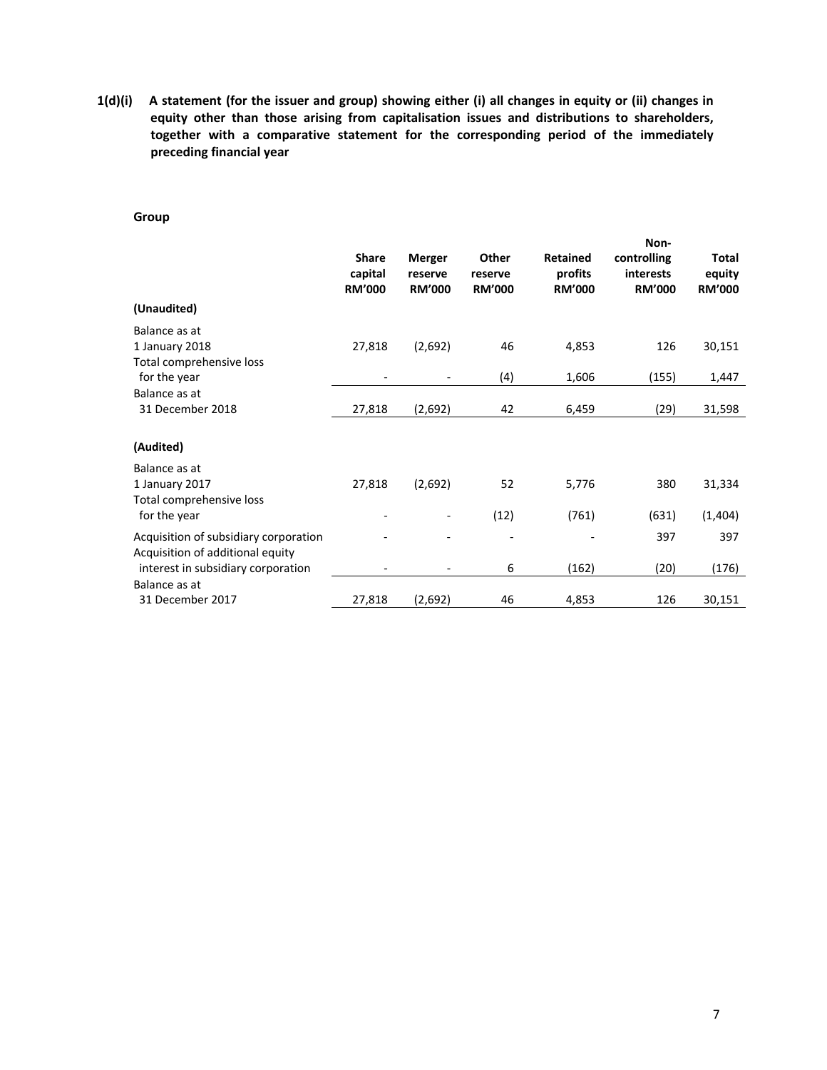**1(d)(i) A statement (for the issuer and group) showing either (i) all changes in equity or (ii) changes in equity other than those arising from capitalisation issues and distributions to shareholders, together with a comparative statement for the corresponding period of the immediately preceding financial year** 

#### **Group**

| (Unaudited)                              | <b>Share</b><br>capital<br><b>RM'000</b> | <b>Merger</b><br>reserve<br><b>RM'000</b> | Other<br>reserve<br><b>RM'000</b> | <b>Retained</b><br>profits<br><b>RM'000</b> | Non-<br>controlling<br><b>interests</b><br><b>RM'000</b> | <b>Total</b><br>equity<br><b>RM'000</b> |
|------------------------------------------|------------------------------------------|-------------------------------------------|-----------------------------------|---------------------------------------------|----------------------------------------------------------|-----------------------------------------|
| Balance as at                            |                                          |                                           |                                   |                                             |                                                          |                                         |
| 1 January 2018                           | 27,818                                   | (2,692)                                   | 46                                | 4,853                                       | 126                                                      | 30,151                                  |
| Total comprehensive loss<br>for the year |                                          |                                           | (4)                               | 1,606                                       | (155)                                                    | 1,447                                   |
| Balance as at                            |                                          |                                           |                                   |                                             |                                                          |                                         |
| 31 December 2018                         | 27,818                                   | (2,692)                                   | 42                                | 6,459                                       | (29)                                                     | 31,598                                  |
| (Audited)                                |                                          |                                           |                                   |                                             |                                                          |                                         |
| Balance as at                            |                                          |                                           |                                   |                                             |                                                          |                                         |
| 1 January 2017                           | 27,818                                   | (2,692)                                   | 52                                | 5,776                                       | 380                                                      | 31,334                                  |
| Total comprehensive loss                 |                                          |                                           |                                   |                                             |                                                          |                                         |
| for the year                             |                                          |                                           | (12)                              | (761)                                       | (631)                                                    | (1,404)                                 |
| Acquisition of subsidiary corporation    |                                          |                                           |                                   |                                             | 397                                                      | 397                                     |
| Acquisition of additional equity         |                                          |                                           |                                   |                                             |                                                          |                                         |
| interest in subsidiary corporation       |                                          | $\qquad \qquad \blacksquare$              | 6                                 | (162)                                       | (20)                                                     | (176)                                   |
| Balance as at                            |                                          |                                           |                                   |                                             |                                                          |                                         |
| 31 December 2017                         | 27,818                                   | (2,692)                                   | 46                                | 4,853                                       | 126                                                      | 30,151                                  |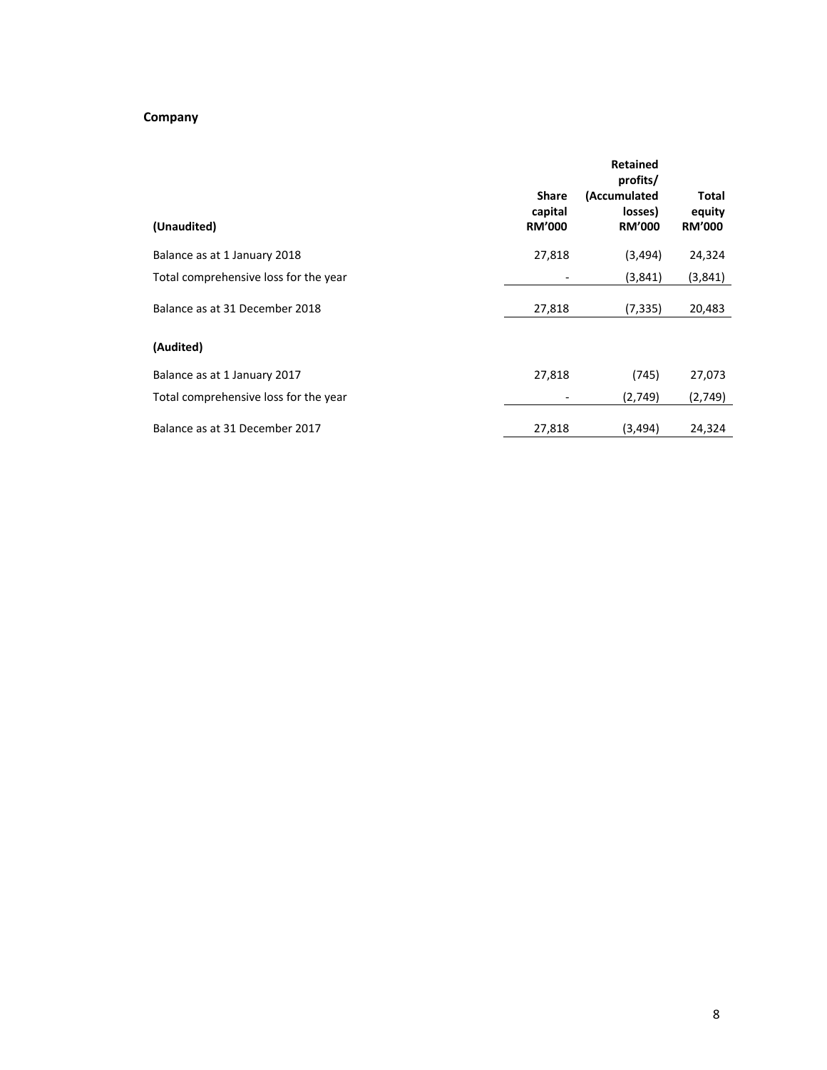# **Company**

| (Unaudited)                           | <b>Share</b><br>capital<br><b>RM'000</b> | <b>Retained</b><br>profits/<br>(Accumulated<br>losses)<br><b>RM'000</b> | <b>Total</b><br>equity<br><b>RM'000</b> |
|---------------------------------------|------------------------------------------|-------------------------------------------------------------------------|-----------------------------------------|
| Balance as at 1 January 2018          | 27,818                                   | (3, 494)                                                                | 24,324                                  |
| Total comprehensive loss for the year |                                          | (3,841)                                                                 | (3,841)                                 |
| Balance as at 31 December 2018        | 27,818                                   | (7, 335)                                                                | 20,483                                  |
| (Audited)                             |                                          |                                                                         |                                         |
| Balance as at 1 January 2017          | 27,818                                   | (745)                                                                   | 27,073                                  |
| Total comprehensive loss for the year |                                          | (2,749)                                                                 | (2,749)                                 |
| Balance as at 31 December 2017        | 27,818                                   | (3, 494)                                                                | 24,324                                  |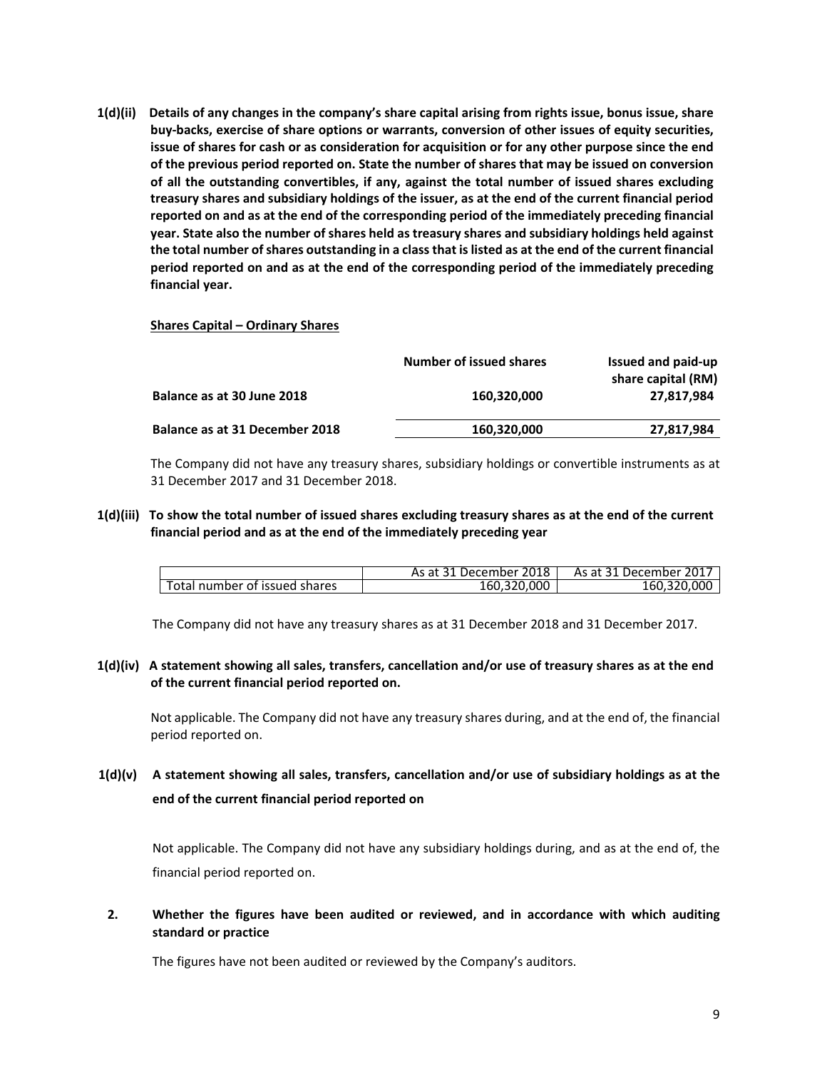**1(d)(ii) Details of any changes in the company's share capital arising from rights issue, bonus issue, share buy‐backs, exercise of share options or warrants, conversion of other issues of equity securities, issue of shares for cash or as consideration for acquisition or for any other purpose since the end of the previous period reported on. State the number of shares that may be issued on conversion of all the outstanding convertibles, if any, against the total number of issued shares excluding treasury shares and subsidiary holdings of the issuer, as at the end of the current financial period reported on and as at the end of the corresponding period of the immediately preceding financial year. State also the number of shares held as treasury shares and subsidiary holdings held against the total number of shares outstanding in a class that is listed as at the end of the current financial period reported on and as at the end of the corresponding period of the immediately preceding financial year.**

#### **Shares Capital – Ordinary Shares**

|                                       | Number of issued shares | Issued and paid-up<br>share capital (RM) |
|---------------------------------------|-------------------------|------------------------------------------|
| Balance as at 30 June 2018            | 160.320.000             | 27.817.984                               |
| <b>Balance as at 31 December 2018</b> | 160,320,000             | 27,817,984                               |

The Company did not have any treasury shares, subsidiary holdings or convertible instruments as at 31 December 2017 and 31 December 2018.

### **1(d)(iii) To show the total number of issued shares excluding treasury shares as at the end of the current financial period and as at the end of the immediately preceding year**

|                               | As at 31 December 2018 | As at 31 December 2017 |
|-------------------------------|------------------------|------------------------|
| Total number of issued shares | 160,320,000            | 160,320,000            |

The Company did not have any treasury shares as at 31 December 2018 and 31 December 2017.

**1(d)(iv) A statement showing all sales, transfers, cancellation and/or use of treasury shares as at the end of the current financial period reported on.**

Not applicable. The Company did not have any treasury shares during, and at the end of, the financial period reported on.

**1(d)(v) A statement showing all sales, transfers, cancellation and/or use of subsidiary holdings as at the end of the current financial period reported on** 

Not applicable. The Company did not have any subsidiary holdings during, and as at the end of, the financial period reported on.

**2. Whether the figures have been audited or reviewed, and in accordance with which auditing standard or practice** 

The figures have not been audited or reviewed by the Company's auditors.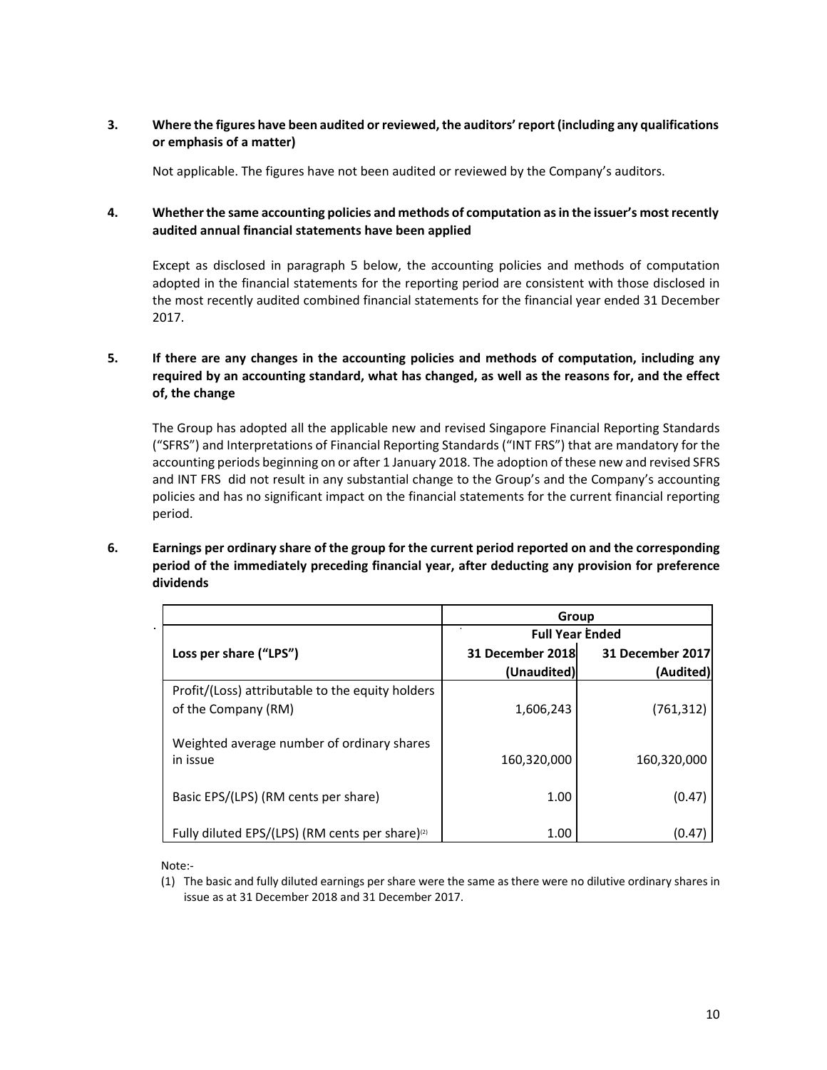## **3. Where the figures have been audited or reviewed, the auditors' report (including any qualifications or emphasis of a matter)**

Not applicable. The figures have not been audited or reviewed by the Company's auditors.

## **4. Whether the same accounting policies and methods of computation as in the issuer's most recently audited annual financial statements have been applied**

Except as disclosed in paragraph 5 below, the accounting policies and methods of computation adopted in the financial statements for the reporting period are consistent with those disclosed in the most recently audited combined financial statements for the financial year ended 31 December 2017.

# **5. If there are any changes in the accounting policies and methods of computation, including any required by an accounting standard, what has changed, as well as the reasons for, and the effect of, the change**

 The Group has adopted all the applicable new and revised Singapore Financial Reporting Standards ("SFRS") and Interpretations of Financial Reporting Standards ("INT FRS") that are mandatory for the accounting periods beginning on or after 1 January 2018. The adoption of these new and revised SFRS and INT FRS did not result in any substantial change to the Group's and the Company's accounting policies and has no significant impact on the financial statements for the current financial reporting period.

#### **6. Earnings per ordinary share of the group for the current period reported on and the corresponding period of the immediately preceding financial year, after deducting any provision for preference dividends**

|                                                                         | Group                  |                  |  |  |
|-------------------------------------------------------------------------|------------------------|------------------|--|--|
|                                                                         | <b>Full Year Ended</b> |                  |  |  |
| Loss per share ("LPS")                                                  | 31 December 2018       | 31 December 2017 |  |  |
|                                                                         | (Unaudited)            | (Audited)        |  |  |
| Profit/(Loss) attributable to the equity holders<br>of the Company (RM) | 1,606,243              | (761, 312)       |  |  |
| Weighted average number of ordinary shares<br>in issue                  | 160,320,000            | 160,320,000      |  |  |
| Basic EPS/(LPS) (RM cents per share)                                    | 1.00                   | (0.47)           |  |  |
| Fully diluted EPS/(LPS) (RM cents per share) <sup>(2)</sup>             | 1.00                   | (0.47            |  |  |

Note:‐

(1) The basic and fully diluted earnings per share were the same as there were no dilutive ordinary shares in issue as at 31 December 2018 and 31 December 2017.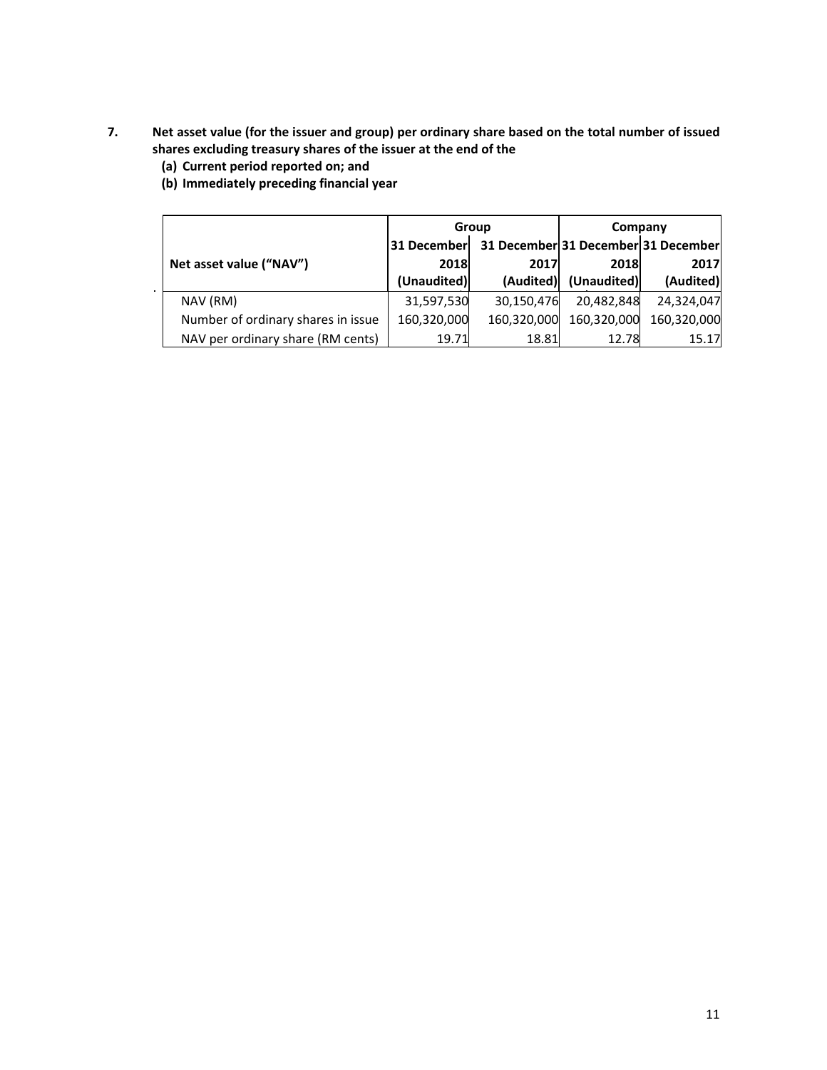- **7. Net asset value (for the issuer and group) per ordinary share based on the total number of issued shares excluding treasury shares of the issuer at the end of the** 
	- **(a) Current period reported on; and**
	- **(b) Immediately preceding financial year**

|                                    |             | Group       | Company     |                                     |  |
|------------------------------------|-------------|-------------|-------------|-------------------------------------|--|
|                                    | 31 December |             |             | 31 December 31 December 31 December |  |
| Net asset value ("NAV")            | 2018        | 2017        | 2018        | 2017                                |  |
|                                    | (Unaudited) | (Audited)   | (Unaudited) | (Audited)                           |  |
| NAV (RM)                           | 31,597,530  | 30,150,476  | 20,482,848  | 24.324.047                          |  |
| Number of ordinary shares in issue | 160,320,000 | 160,320,000 | 160,320,000 | 160.320.000                         |  |
| NAV per ordinary share (RM cents)  | 19.71       | 18.81       | 12.78       | 15.17                               |  |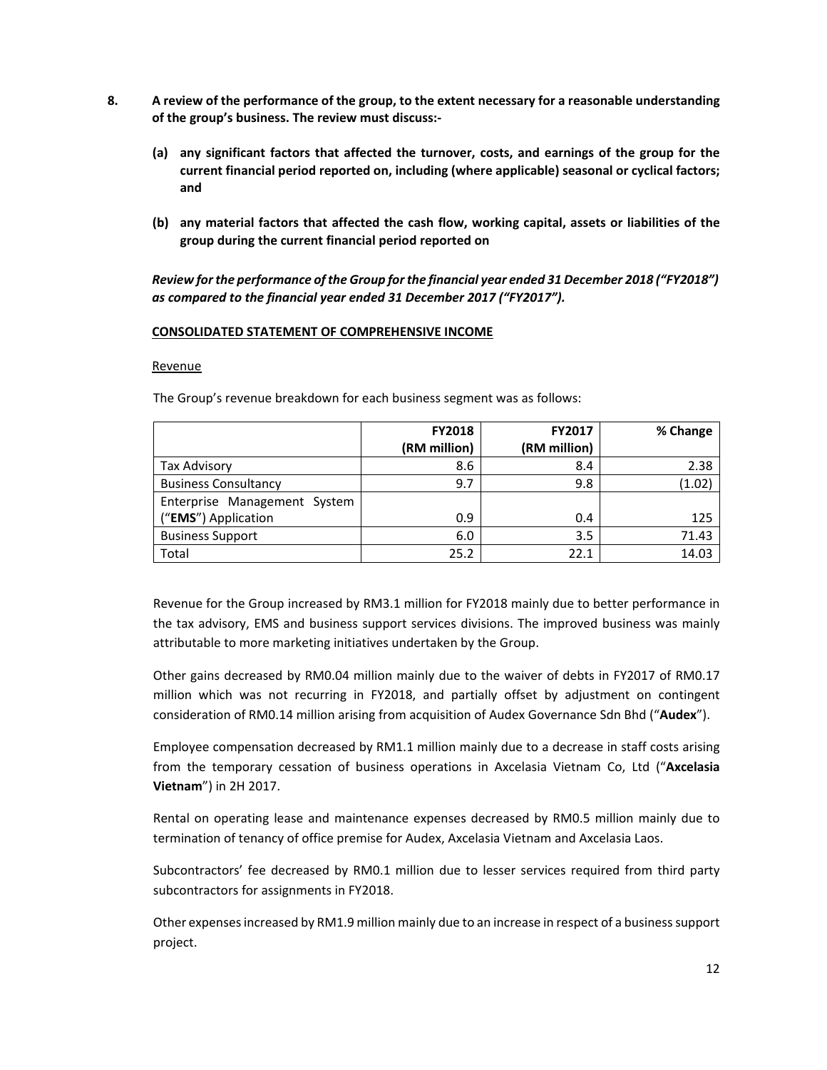- **8. A review of the performance of the group, to the extent necessary for a reasonable understanding of the group's business. The review must discuss:‐** 
	- **(a) any significant factors that affected the turnover, costs, and earnings of the group for the current financial period reported on, including (where applicable) seasonal or cyclical factors; and**
	- **(b) any material factors that affected the cash flow, working capital, assets or liabilities of the group during the current financial period reported on**

*Review for the performance of the Group for the financial year ended 31 December 2018 ("FY2018") as compared to the financial year ended 31 December 2017 ("FY2017").* 

#### **CONSOLIDATED STATEMENT OF COMPREHENSIVE INCOME**

#### Revenue

The Group's revenue breakdown for each business segment was as follows:

|                              | <b>FY2018</b> | <b>FY2017</b> | % Change |
|------------------------------|---------------|---------------|----------|
|                              | (RM million)  | (RM million)  |          |
| <b>Tax Advisory</b>          | 8.6           | 8.4           | 2.38     |
| <b>Business Consultancy</b>  | 9.7           | 9.8           | (1.02)   |
| Enterprise Management System |               |               |          |
| ("EMS") Application          | 0.9           | 0.4           | 125      |
| <b>Business Support</b>      | 6.0           | 3.5           | 71.43    |
| Total                        | 25.2          | 22.1          | 14.03    |

Revenue for the Group increased by RM3.1 million for FY2018 mainly due to better performance in the tax advisory, EMS and business support services divisions. The improved business was mainly attributable to more marketing initiatives undertaken by the Group.

Other gains decreased by RM0.04 million mainly due to the waiver of debts in FY2017 of RM0.17 million which was not recurring in FY2018, and partially offset by adjustment on contingent consideration of RM0.14 million arising from acquisition of Audex Governance Sdn Bhd ("**Audex**").

Employee compensation decreased by RM1.1 million mainly due to a decrease in staff costs arising from the temporary cessation of business operations in Axcelasia Vietnam Co, Ltd ("**Axcelasia Vietnam**") in 2H 2017.

Rental on operating lease and maintenance expenses decreased by RM0.5 million mainly due to termination of tenancy of office premise for Audex, Axcelasia Vietnam and Axcelasia Laos.

Subcontractors' fee decreased by RM0.1 million due to lesser services required from third party subcontractors for assignments in FY2018.

Other expenses increased by RM1.9 million mainly due to an increase in respect of a business support project.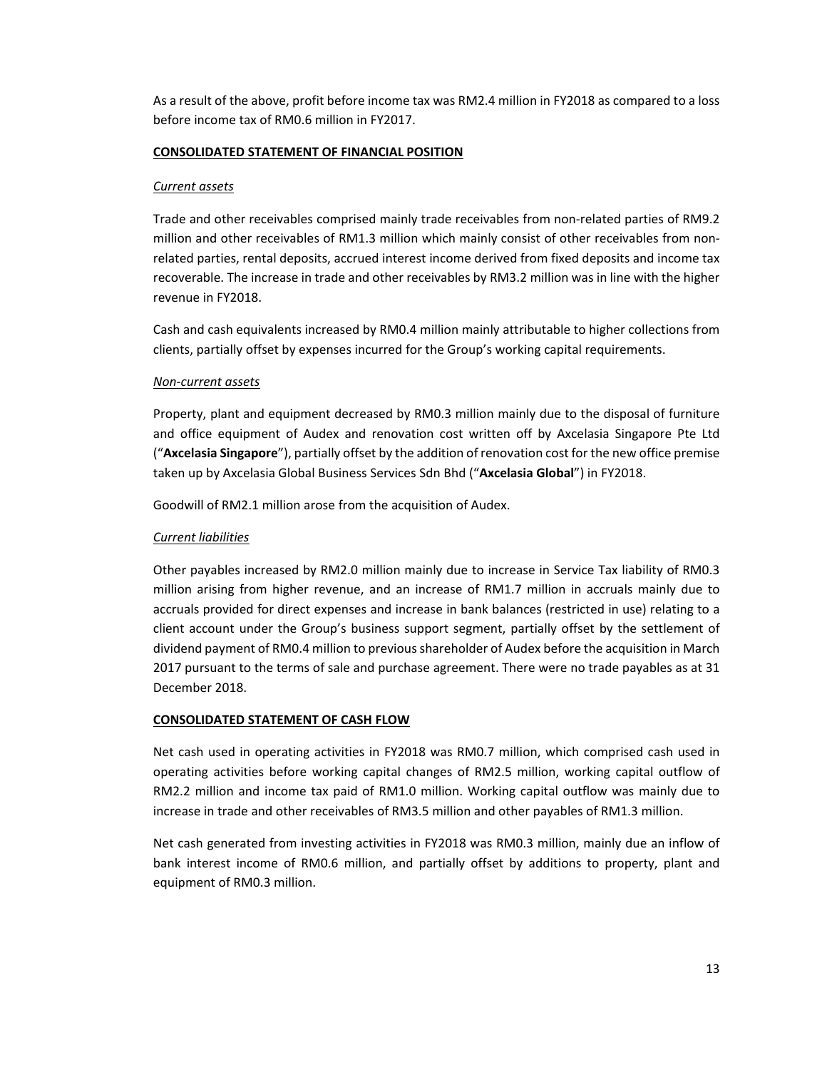As a result of the above, profit before income tax was RM2.4 million in FY2018 as compared to a loss before income tax of RM0.6 million in FY2017.

### **CONSOLIDATED STATEMENT OF FINANCIAL POSITION**

#### *Current assets*

Trade and other receivables comprised mainly trade receivables from non-related parties of RM9.2 million and other receivables of RM1.3 million which mainly consist of other receivables from non‐ related parties, rental deposits, accrued interest income derived from fixed deposits and income tax recoverable. The increase in trade and other receivables by RM3.2 million was in line with the higher revenue in FY2018.

Cash and cash equivalents increased by RM0.4 million mainly attributable to higher collections from clients, partially offset by expenses incurred for the Group's working capital requirements.

### *Non‐current assets*

Property, plant and equipment decreased by RM0.3 million mainly due to the disposal of furniture and office equipment of Audex and renovation cost written off by Axcelasia Singapore Pte Ltd ("**Axcelasia Singapore**"), partially offset by the addition of renovation cost for the new office premise taken up by Axcelasia Global Business Services Sdn Bhd ("**Axcelasia Global**") in FY2018.

Goodwill of RM2.1 million arose from the acquisition of Audex.

## *Current liabilities*

Other payables increased by RM2.0 million mainly due to increase in Service Tax liability of RM0.3 million arising from higher revenue, and an increase of RM1.7 million in accruals mainly due to accruals provided for direct expenses and increase in bank balances (restricted in use) relating to a client account under the Group's business support segment, partially offset by the settlement of dividend payment of RM0.4 million to previous shareholder of Audex before the acquisition in March 2017 pursuant to the terms of sale and purchase agreement. There were no trade payables as at 31 December 2018.

#### **CONSOLIDATED STATEMENT OF CASH FLOW**

Net cash used in operating activities in FY2018 was RM0.7 million, which comprised cash used in operating activities before working capital changes of RM2.5 million, working capital outflow of RM2.2 million and income tax paid of RM1.0 million. Working capital outflow was mainly due to increase in trade and other receivables of RM3.5 million and other payables of RM1.3 million.

Net cash generated from investing activities in FY2018 was RM0.3 million, mainly due an inflow of bank interest income of RM0.6 million, and partially offset by additions to property, plant and equipment of RM0.3 million.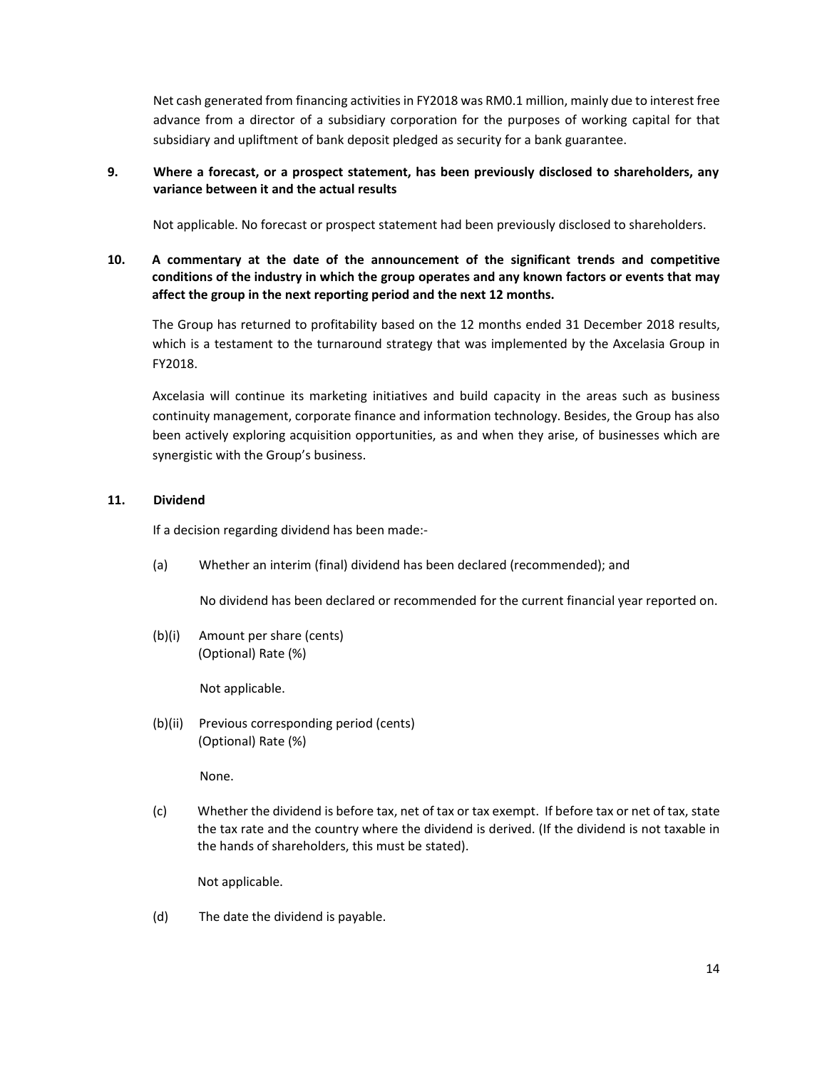Net cash generated from financing activities in FY2018 was RM0.1 million, mainly due to interest free advance from a director of a subsidiary corporation for the purposes of working capital for that subsidiary and upliftment of bank deposit pledged as security for a bank guarantee.

## **9. Where a forecast, or a prospect statement, has been previously disclosed to shareholders, any variance between it and the actual results**

Not applicable. No forecast or prospect statement had been previously disclosed to shareholders.

# **10. A commentary at the date of the announcement of the significant trends and competitive conditions of the industry in which the group operates and any known factors or events that may affect the group in the next reporting period and the next 12 months.**

The Group has returned to profitability based on the 12 months ended 31 December 2018 results, which is a testament to the turnaround strategy that was implemented by the Axcelasia Group in FY2018.

Axcelasia will continue its marketing initiatives and build capacity in the areas such as business continuity management, corporate finance and information technology. Besides, the Group has also been actively exploring acquisition opportunities, as and when they arise, of businesses which are synergistic with the Group's business.

### **11. Dividend**

If a decision regarding dividend has been made:‐

(a) Whether an interim (final) dividend has been declared (recommended); and

No dividend has been declared or recommended for the current financial year reported on.

(b)(i) Amount per share (cents) (Optional) Rate (%)

Not applicable.

(b)(ii) Previous corresponding period (cents) (Optional) Rate (%)

None.

(c) Whether the dividend is before tax, net of tax or tax exempt. If before tax or net of tax, state the tax rate and the country where the dividend is derived. (If the dividend is not taxable in the hands of shareholders, this must be stated).

Not applicable.

(d) The date the dividend is payable.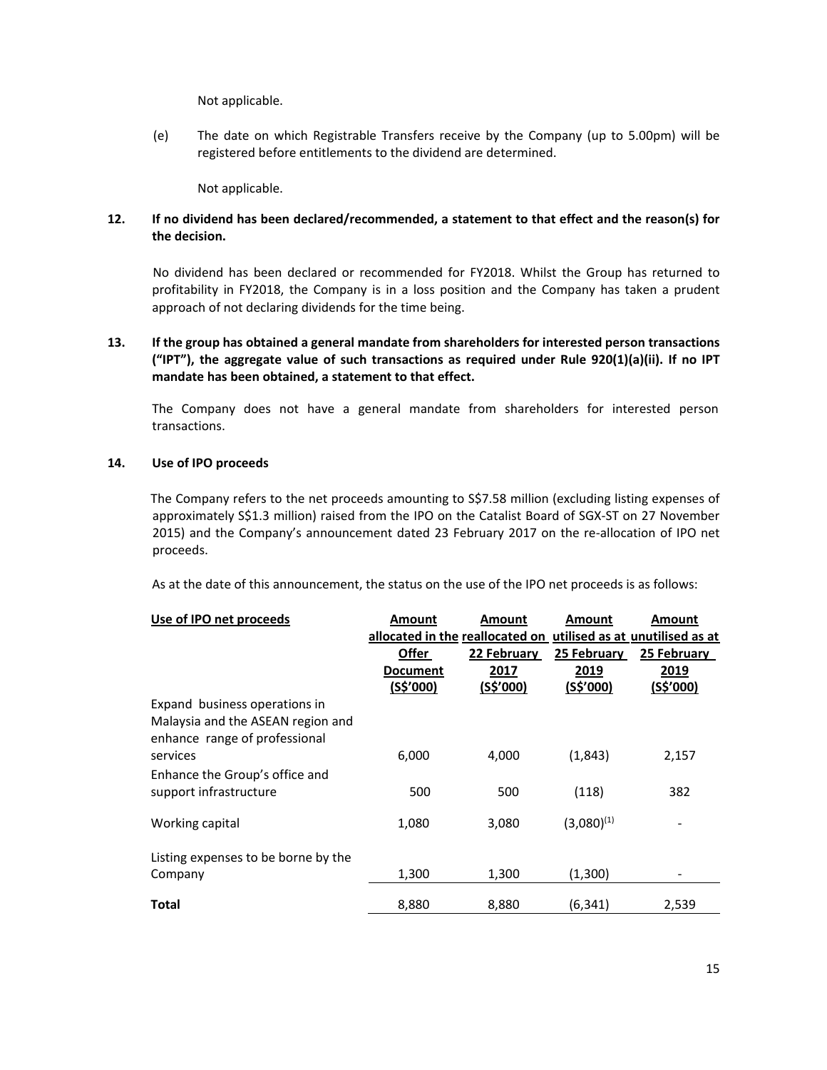Not applicable.

(e) The date on which Registrable Transfers receive by the Company (up to 5.00pm) will be registered before entitlements to the dividend are determined.

Not applicable.

## **12. If no dividend has been declared/recommended, a statement to that effect and the reason(s) for the decision.**

No dividend has been declared or recommended for FY2018. Whilst the Group has returned to profitability in FY2018, the Company is in a loss position and the Company has taken a prudent approach of not declaring dividends for the time being.

## **13. If the group has obtained a general mandate from shareholders for interested person transactions ("IPT"), the aggregate value of such transactions as required under Rule 920(1)(a)(ii). If no IPT mandate has been obtained, a statement to that effect.**

The Company does not have a general mandate from shareholders for interested person transactions.

### **14. Use of IPO proceeds**

The Company refers to the net proceeds amounting to S\$7.58 million (excluding listing expenses of approximately S\$1.3 million) raised from the IPO on the Catalist Board of SGX‐ST on 27 November 2015) and the Company's announcement dated 23 February 2017 on the re-allocation of IPO net proceeds.

As at the date of this announcement, the status on the use of the IPO net proceeds is as follows:

| Use of IPO net proceeds             | Amount                          | Amount      | Amount          | Amount                          |
|-------------------------------------|---------------------------------|-------------|-----------------|---------------------------------|
|                                     | allocated in the reallocated on |             |                 | utilised as at unutilised as at |
|                                     | Offer                           | 22 February | 25 February     | 25 February                     |
|                                     | Document                        | 2017        | 2019            | 2019                            |
|                                     | (S\$'000)                       | (S\$'000)   | (S\$'000)       | (S\$'000)                       |
| Expand business operations in       |                                 |             |                 |                                 |
| Malaysia and the ASEAN region and   |                                 |             |                 |                                 |
| enhance range of professional       |                                 |             |                 |                                 |
| services                            | 6,000                           | 4,000       | (1,843)         | 2,157                           |
| Enhance the Group's office and      |                                 |             |                 |                                 |
| support infrastructure              | 500                             | 500         | (118)           | 382                             |
|                                     |                                 |             |                 |                                 |
| Working capital                     | 1,080                           | 3,080       | $(3,080)^{(1)}$ |                                 |
|                                     |                                 |             |                 |                                 |
| Listing expenses to be borne by the |                                 |             |                 |                                 |
| Company                             | 1,300                           | 1,300       | (1,300)         |                                 |
|                                     |                                 |             |                 |                                 |
| Total                               | 8,880                           | 8,880       | (6,341)         | 2,539                           |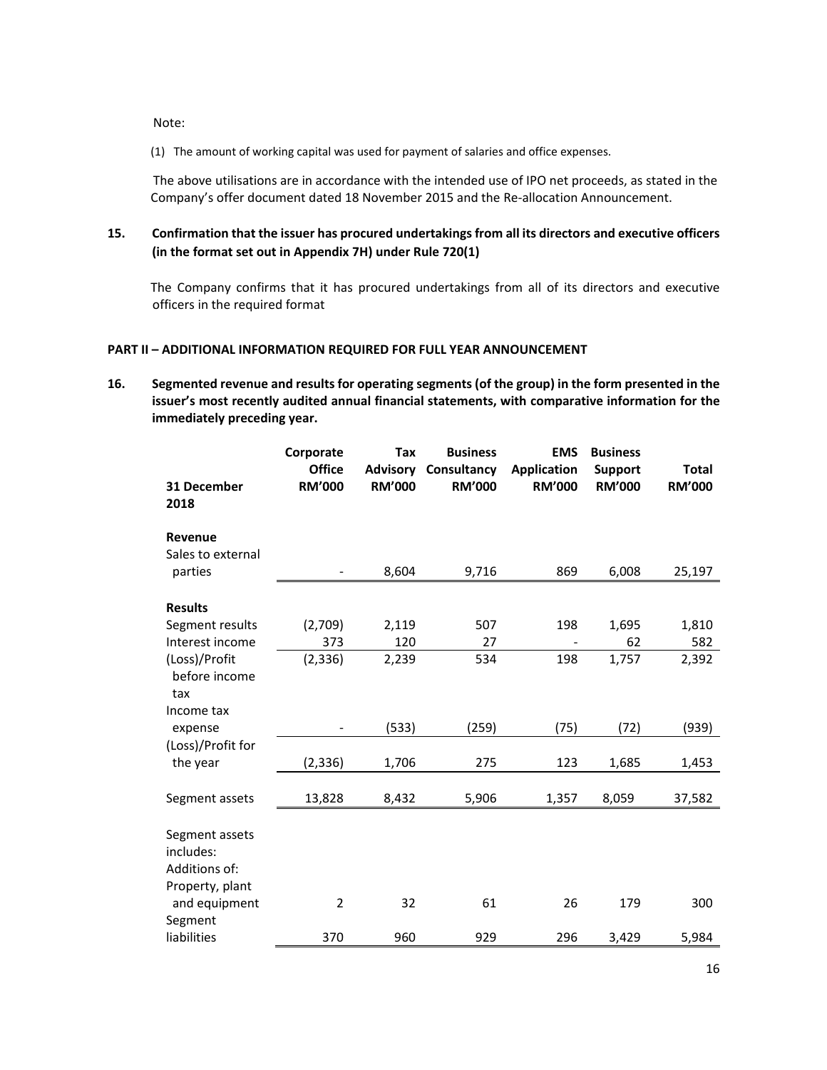Note:

(1) The amount of working capital was used for payment of salaries and office expenses.

The above utilisations are in accordance with the intended use of IPO net proceeds, as stated in the Company's offer document dated 18 November 2015 and the Re‐allocation Announcement.

# **15. Confirmation that the issuer has procured undertakings from all its directors and executive officers (in the format set out in Appendix 7H) under Rule 720(1)**

The Company confirms that it has procured undertakings from all of its directors and executive officers in the required format

#### **PART II – ADDITIONAL INFORMATION REQUIRED FOR FULL YEAR ANNOUNCEMENT**

**16. Segmented revenue and results for operating segments (of the group) in the form presented in the issuer's most recently audited annual financial statements, with comparative information for the immediately preceding year.** 

|                                                                 | Corporate<br><b>Office</b> | <b>Tax</b>                       | <b>Business</b><br>Consultancy | <b>EMS</b>                          | <b>Business</b>                 |                               |
|-----------------------------------------------------------------|----------------------------|----------------------------------|--------------------------------|-------------------------------------|---------------------------------|-------------------------------|
| 31 December<br>2018                                             | <b>RM'000</b>              | <b>Advisory</b><br><b>RM'000</b> | <b>RM'000</b>                  | <b>Application</b><br><b>RM'000</b> | <b>Support</b><br><b>RM'000</b> | <b>Total</b><br><b>RM'000</b> |
| Revenue<br>Sales to external<br>parties                         |                            | 8,604                            | 9,716                          | 869                                 | 6,008                           | 25,197                        |
|                                                                 |                            |                                  |                                |                                     |                                 |                               |
| <b>Results</b>                                                  |                            |                                  |                                |                                     |                                 |                               |
| Segment results                                                 | (2,709)                    | 2,119                            | 507                            | 198                                 | 1,695                           | 1,810                         |
| Interest income                                                 | 373                        | 120                              | 27                             |                                     | 62                              | 582                           |
| (Loss)/Profit<br>before income<br>tax                           | (2, 336)                   | 2,239                            | 534                            | 198                                 | 1,757                           | 2,392                         |
| Income tax                                                      |                            |                                  |                                |                                     |                                 |                               |
| expense                                                         |                            | (533)                            | (259)                          | (75)                                | (72)                            | (939)                         |
| (Loss)/Profit for<br>the year                                   | (2, 336)                   | 1,706                            | 275                            | 123                                 | 1,685                           | 1,453                         |
| Segment assets                                                  | 13,828                     | 8,432                            | 5,906                          | 1,357                               | 8,059                           | 37,582                        |
| Segment assets<br>includes:<br>Additions of:<br>Property, plant |                            |                                  |                                |                                     |                                 |                               |
| and equipment<br>Segment                                        | $\overline{2}$             | 32                               | 61                             | 26                                  | 179                             | 300                           |
| liabilities                                                     | 370                        | 960                              | 929                            | 296                                 | 3,429                           | 5,984                         |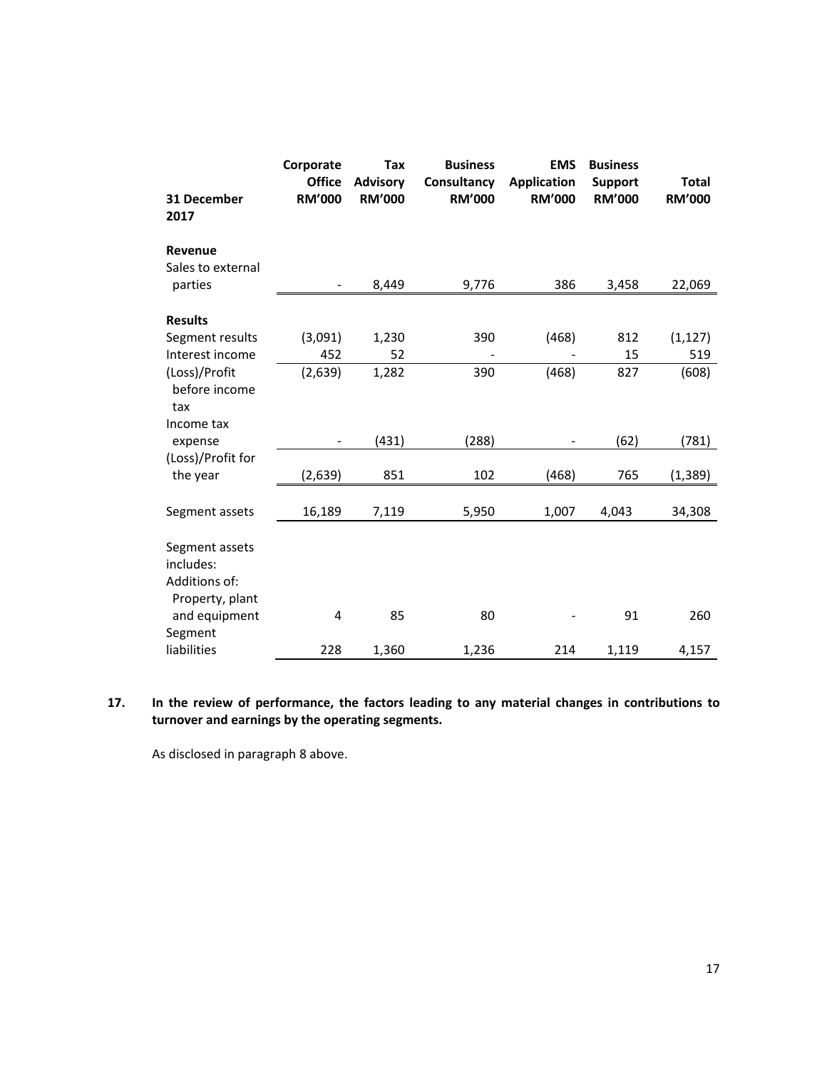| 31 December<br>2017                                             | Corporate<br><b>Office</b><br><b>RM'000</b> | Tax<br><b>Advisory</b><br><b>RM'000</b> | <b>Business</b><br>Consultancy<br><b>RM'000</b> | <b>EMS</b><br><b>Application</b><br><b>RM'000</b> | <b>Business</b><br><b>Support</b><br><b>RM'000</b> | <b>Total</b><br><b>RM'000</b> |
|-----------------------------------------------------------------|---------------------------------------------|-----------------------------------------|-------------------------------------------------|---------------------------------------------------|----------------------------------------------------|-------------------------------|
| Revenue                                                         |                                             |                                         |                                                 |                                                   |                                                    |                               |
| Sales to external<br>parties                                    | $\frac{1}{2}$                               | 8,449                                   | 9,776                                           | 386                                               | 3,458                                              | 22,069                        |
|                                                                 |                                             |                                         |                                                 |                                                   |                                                    |                               |
| <b>Results</b>                                                  |                                             |                                         |                                                 |                                                   |                                                    |                               |
| Segment results                                                 | (3,091)                                     | 1,230                                   | 390                                             | (468)                                             | 812                                                | (1, 127)                      |
| Interest income                                                 | 452                                         | 52                                      |                                                 |                                                   | 15                                                 | 519                           |
| (Loss)/Profit<br>before income<br>tax                           | (2,639)                                     | 1,282                                   | 390                                             | (468)                                             | 827                                                | (608)                         |
| Income tax<br>expense                                           |                                             | (431)                                   | (288)                                           |                                                   | (62)                                               | (781)                         |
| (Loss)/Profit for                                               |                                             |                                         |                                                 |                                                   |                                                    |                               |
| the year                                                        | (2,639)                                     | 851                                     | 102                                             | (468)                                             | 765                                                | (1, 389)                      |
| Segment assets                                                  | 16,189                                      | 7,119                                   | 5,950                                           | 1,007                                             | 4,043                                              | 34,308                        |
| Segment assets<br>includes:<br>Additions of:<br>Property, plant |                                             |                                         |                                                 |                                                   |                                                    |                               |
| and equipment<br>Segment                                        | 4                                           | 85                                      | 80                                              |                                                   | 91                                                 | 260                           |
| liabilities                                                     | 228                                         | 1,360                                   | 1,236                                           | 214                                               | 1,119                                              | 4,157                         |

**17. In the review of performance, the factors leading to any material changes in contributions to turnover and earnings by the operating segments.** 

As disclosed in paragraph 8 above.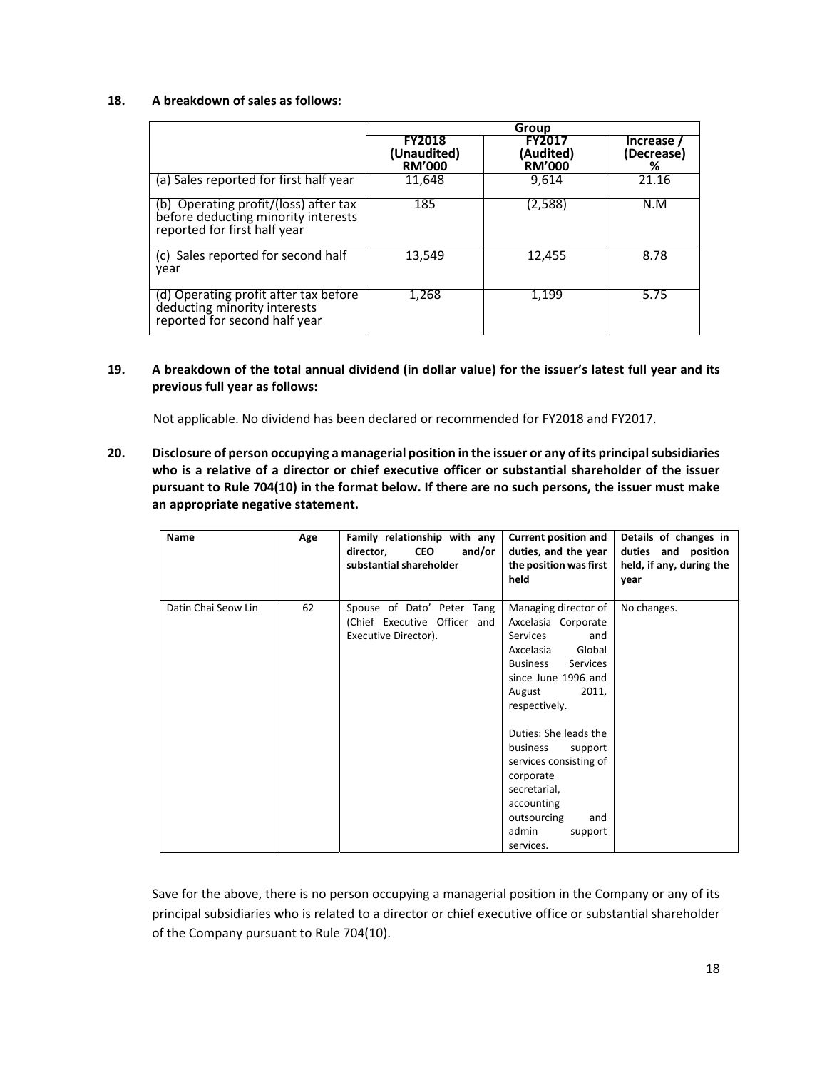#### **18. A breakdown of sales as follows:**

|                                                                                                              | Group                                         |                                             |                             |  |
|--------------------------------------------------------------------------------------------------------------|-----------------------------------------------|---------------------------------------------|-----------------------------|--|
|                                                                                                              | <b>FY2018</b><br>(Unaudited)<br><b>RM'000</b> | <b>FY2017</b><br>(Audited)<br><b>RM'000</b> | Increase<br>(Decrease)<br>℅ |  |
| (a) Sales reported for first half year                                                                       | 11,648                                        | 9,614                                       | 21.16                       |  |
| (b) Operating profit/(loss) after tax<br>before deducting minority interests<br>reported for first half year | 185                                           | (2,588)                                     | N.M                         |  |
| (c) Sales reported for second half<br>vear                                                                   | 13.549                                        | 12,455                                      | 8.78                        |  |
| (d) Operating profit after tax before<br>deducting minority interests<br>reported for second half year       | 1,268                                         | 1,199                                       | 5.75                        |  |

#### **19. A breakdown of the total annual dividend (in dollar value) for the issuer's latest full year and its previous full year as follows:**

Not applicable. No dividend has been declared or recommended for FY2018 and FY2017.

**20. Disclosure of person occupying a managerial position in the issuer or any of its principal subsidiaries who is a relative of a director or chief executive officer or substantial shareholder of the issuer pursuant to Rule 704(10) in the format below. If there are no such persons, the issuer must make an appropriate negative statement.** 

| Name                | Age | Family relationship with any<br><b>CEO</b><br>and/or<br>director,<br>substantial shareholder | <b>Current position and</b><br>duties, and the year<br>the position was first<br>held                                                                                                                                                                                                                                                                              | Details of changes in<br>duties and position<br>held, if any, during the<br>year |
|---------------------|-----|----------------------------------------------------------------------------------------------|--------------------------------------------------------------------------------------------------------------------------------------------------------------------------------------------------------------------------------------------------------------------------------------------------------------------------------------------------------------------|----------------------------------------------------------------------------------|
| Datin Chai Seow Lin | 62  | Spouse of Dato' Peter Tang<br>(Chief Executive Officer and<br>Executive Director).           | Managing director of<br>Axcelasia Corporate<br><b>Services</b><br>and<br>Global<br>Axcelasia<br>Services<br><b>Business</b><br>since June 1996 and<br>2011,<br>August<br>respectively.<br>Duties: She leads the<br>business<br>support<br>services consisting of<br>corporate<br>secretarial,<br>accounting<br>outsourcing<br>and<br>admin<br>support<br>services. | No changes.                                                                      |

Save for the above, there is no person occupying a managerial position in the Company or any of its principal subsidiaries who is related to a director or chief executive office or substantial shareholder of the Company pursuant to Rule 704(10).